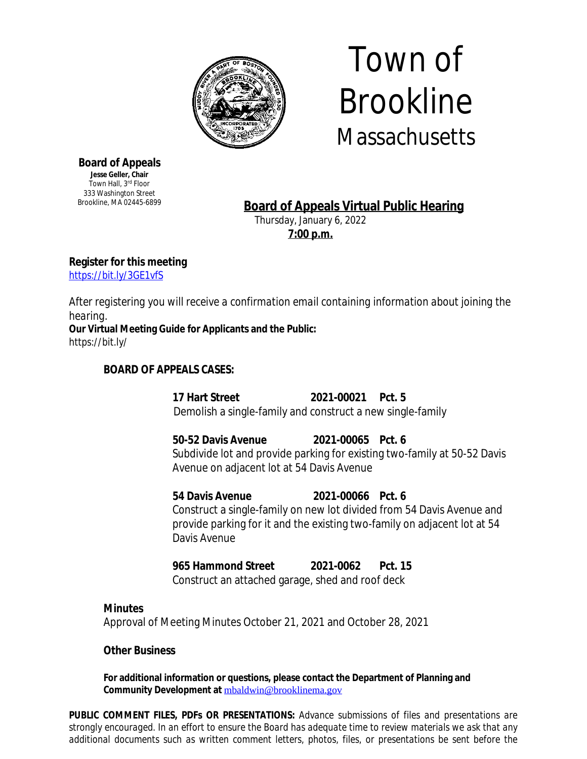

# Town of Brookline **Massachusetts**

**Board of Appeals Jesse Geller, Chair** Town Hall, 3rd Floor 333 Washington Street Brookline, MA 02445-6899

# **Board of Appeals Virtual Public Hearing**

Thursday, January 6, 2022 **7:00 p.m.**

**Register for this meeting**

<https://bit.ly/3GE1vfS>

*After registering you will receive a confirmation email containing information about joining the hearing.*

**Our Virtual Meeting Guide for Applicants and the Public:** https://bit.ly/

## **BOARD OF APPEALS CASES:**

**17 Hart Street 2021-00021 Pct. 5** Demolish a single-family and construct a new single-family

**50-52 Davis Avenue 2021-00065 Pct. 6** Subdivide lot and provide parking for existing two-family at 50-52 Davis Avenue on adjacent lot at 54 Davis Avenue

**54 Davis Avenue 2021-00066 Pct. 6** Construct a single-family on new lot divided from 54 Davis Avenue and provide parking for it and the existing two-family on adjacent lot at 54 Davis Avenue

**965 Hammond Street 2021-0062 Pct. 15**

Construct an attached garage, shed and roof deck

### **Minutes**

Approval of Meeting Minutes October 21, 2021 and October 28, 2021

### **Other Business**

**For additional information or questions, please contact the Department of Planning and Community Development at** [mbaldwin@brooklinema.gov](mailto:mbaldwin@brooklinema.gov)

**PUBLIC COMMENT FILES, PDFs OR PRESENTATIONS:** *Advance submissions of files and presentations are* strongly encouraged. In an effort to ensure the Board has adequate time to review materials we ask that any *additional documents such as written comment letters, photos, files, or presentations be sent before the*